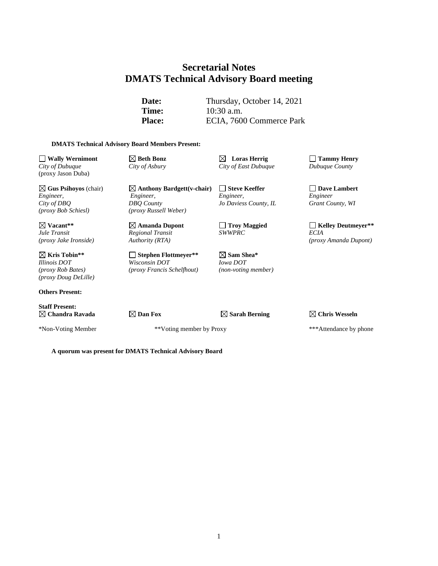# **Secretarial Notes DMATS Technical Advisory Board meeting**

Date: Thursday, October 14, 2021 **Time:** 10:30 a.m. Place: ECIA, 7600 Commerce Park

#### **DMATS Technical Advisory Board Members Present:**

**Wally Wernimont Beth Bonz Loras Herrig Tammy Henry** *City of Dubuque City of Asbury City of East Dubuque Dubuque County* (proxy Jason Duba)

**Gus Psihoyos** (chair) **Anthony Bardgett(v-chair) Steve Keeffer Dave Lambert** *Engineer, Engineer, Engineer, Engineer City of DBQ DBQ County Jo Daviess County, IL Grant County, WI (proxy Bob Schiesl) (proxy Russell Weber)*

**Kris Tobin\*\* Stephen Flottmeyer\*\* Sam Shea\*** *Illinois DOT Wisconsin DOT Iowa DOT (proxy Rob Bates) (proxy Francis Schelfhout) (non-voting member) (proxy Doug DeLille)*

**Others Present:**

**Staff Present:**

*Regional Transit*<br>*Authority (RTA)* 

\*Non-Voting Member \*\*Voting member by Proxy \*\*\*Attendance by phone

**Vacant\*\* Amanda Dupont Troy Maggied Kelley Deutmeyer\*\*** *(proxy Jake Ironside) Authority (RTA) (proxy Amanda Dupont)*

**Chandra Ravada Dan Fox Sarah Berning Chris Wesseln**

**A quorum was present for DMATS Technical Advisory Board**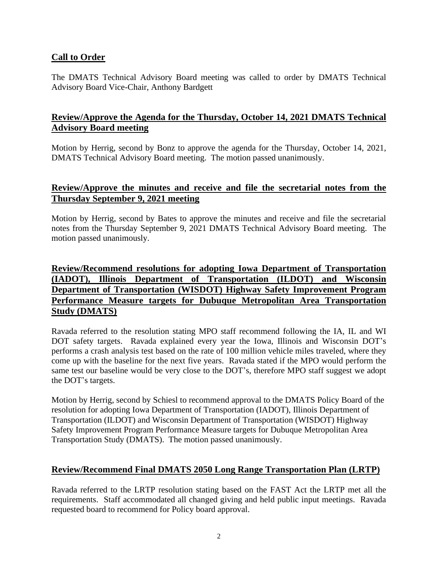## **Call to Order**

The DMATS Technical Advisory Board meeting was called to order by DMATS Technical Advisory Board Vice-Chair, Anthony Bardgett

# **Review/Approve the Agenda for the Thursday, October 14, 2021 DMATS Technical Advisory Board meeting**

Motion by Herrig, second by Bonz to approve the agenda for the Thursday, October 14, 2021, DMATS Technical Advisory Board meeting. The motion passed unanimously.

## **Review/Approve the minutes and receive and file the secretarial notes from the Thursday September 9, 2021 meeting**

Motion by Herrig, second by Bates to approve the minutes and receive and file the secretarial notes from the Thursday September 9, 2021 DMATS Technical Advisory Board meeting. The motion passed unanimously.

# **Review/Recommend resolutions for adopting Iowa Department of Transportation (IADOT), Illinois Department of Transportation (ILDOT) and Wisconsin Department of Transportation (WISDOT) Highway Safety Improvement Program Performance Measure targets for Dubuque Metropolitan Area Transportation Study (DMATS)**

Ravada referred to the resolution stating MPO staff recommend following the IA, IL and WI DOT safety targets. Ravada explained every year the Iowa, Illinois and Wisconsin DOT's performs a crash analysis test based on the rate of 100 million vehicle miles traveled, where they come up with the baseline for the next five years. Ravada stated if the MPO would perform the same test our baseline would be very close to the DOT's, therefore MPO staff suggest we adopt the DOT's targets.

Motion by Herrig, second by Schiesl to recommend approval to the DMATS Policy Board of the resolution for adopting Iowa Department of Transportation (IADOT), Illinois Department of Transportation (ILDOT) and Wisconsin Department of Transportation (WISDOT) Highway Safety Improvement Program Performance Measure targets for Dubuque Metropolitan Area Transportation Study (DMATS). The motion passed unanimously.

## **Review/Recommend Final DMATS 2050 Long Range Transportation Plan (LRTP)**

Ravada referred to the LRTP resolution stating based on the FAST Act the LRTP met all the requirements. Staff accommodated all changed giving and held public input meetings. Ravada requested board to recommend for Policy board approval.